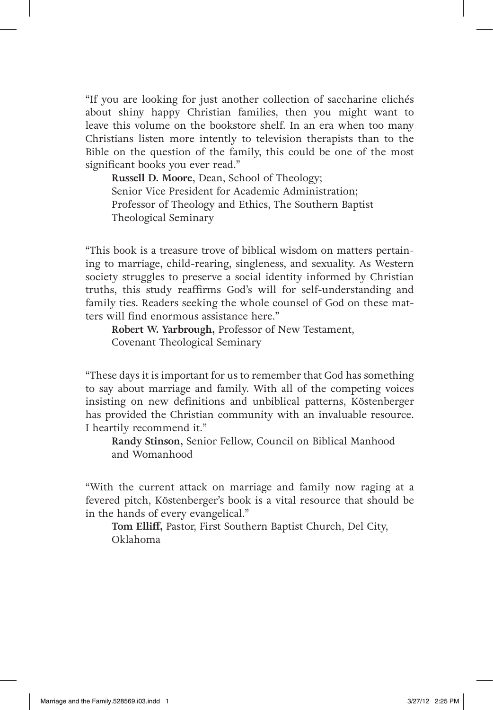"If you are looking for just another collection of saccharine clichés about shiny happy Christian families, then you might want to leave this volume on the bookstore shelf. In an era when too many Christians listen more intently to television therapists than to the Bible on the question of the family, this could be one of the most significant books you ever read."

**Russell D. Moore,** Dean, School of Theology; Senior Vice President for Academic Administration; Professor of Theology and Ethics, The Southern Baptist Theological Seminary

"This book is a treasure trove of biblical wisdom on matters pertaining to marriage, child-rearing, singleness, and sexuality. As Western society struggles to preserve a social identity informed by Christian truths, this study reaffirms God's will for self-understanding and family ties. Readers seeking the whole counsel of God on these matters will find enormous assistance here."

**Robert W. Yarbrough,** Professor of New Testament, Covenant Theological Seminary

"These days it is important for us to remember that God has something to say about marriage and family. With all of the competing voices insisting on new definitions and unbiblical patterns, Köstenberger has provided the Christian community with an invaluable resource. I heartily recommend it."

**Randy Stinson,** Senior Fellow, Council on Biblical Manhood and Womanhood

"With the current attack on marriage and family now raging at a fevered pitch, Köstenberger's book is a vital resource that should be in the hands of every evangelical."

**Tom Elliff,** Pastor, First Southern Baptist Church, Del City, Oklahoma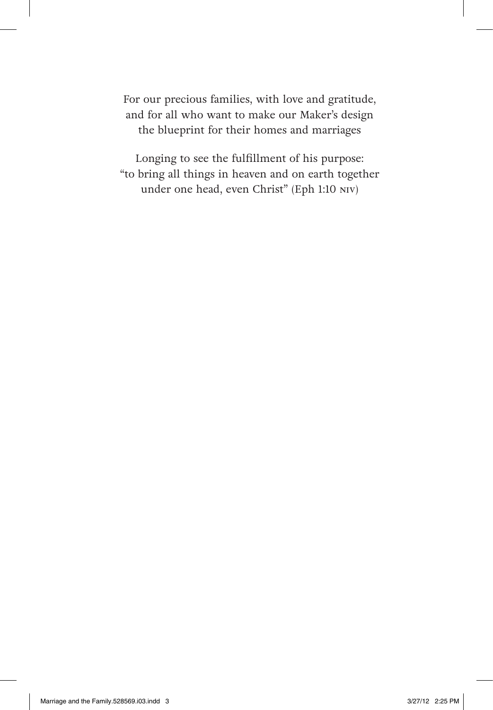For our precious families, with love and gratitude, and for all who want to make our Maker's design the blueprint for their homes and marriages

Longing to see the fulfillment of his purpose: "to bring all things in heaven and on earth together under one head, even Christ" (Eph 1:10 NIV)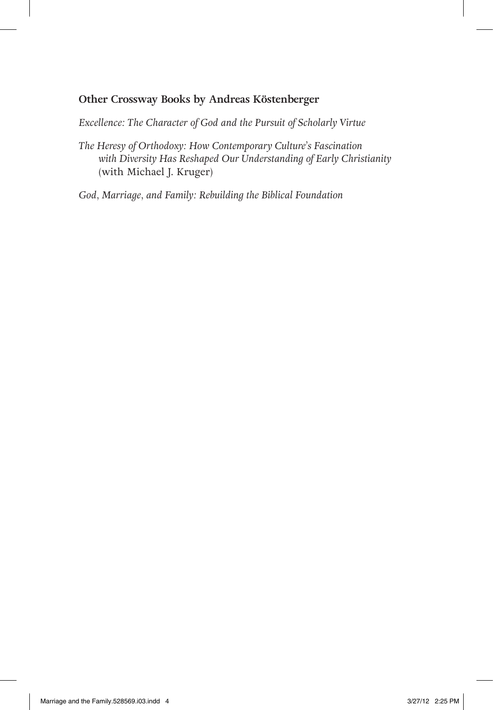#### **Other Crossway Books by Andreas Köstenberger**

*Excellence: The Character of God and the Pursuit of Scholarly Virtue*

*The Heresy of Orthodoxy: How Contemporary Culture's Fascination with Diversity Has Reshaped Our Understanding of Early Christianity*  (with Michael J. Kruger)

*God, Marriage, and Family: Rebuilding the Biblical Foundation*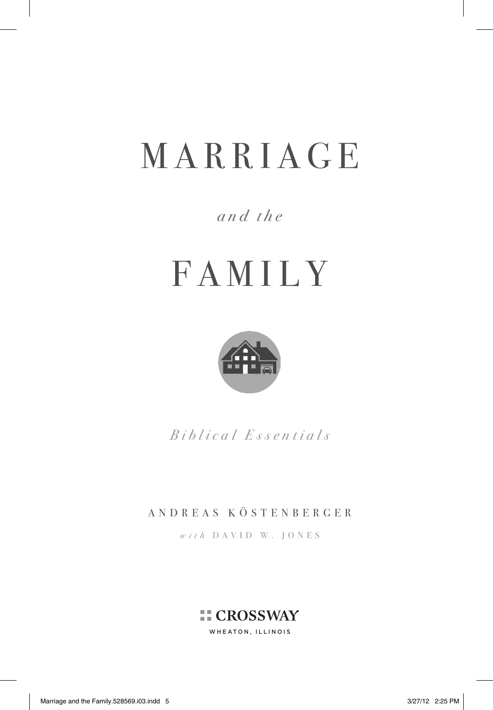# with David W. Jones MARRIAGE

# *and the*

# FAMILY



*Biblical Essentials*

### ANDREAS KÖSTENBERGER

*with* DAVID W. JONES

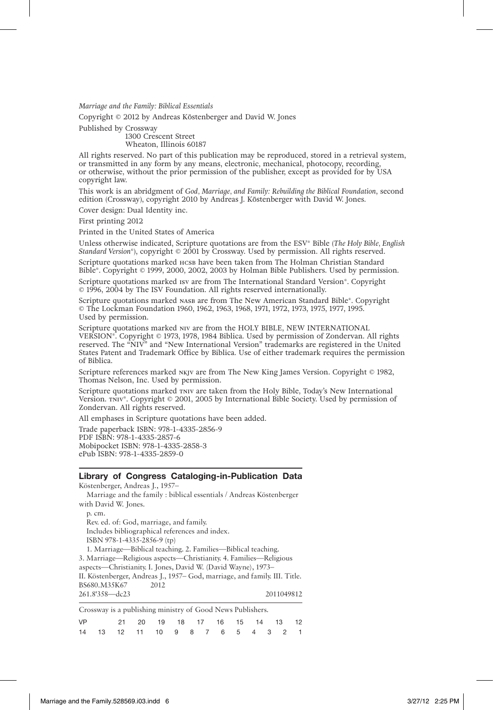*Marriage and the Family: Biblical Essentials*

Copyright © 2012 by Andreas Köstenberger and David W. Jones

Published by Crossway

1300 Crescent Street Wheaton, Illinois 60187

All rights reserved. No part of this publication may be reproduced, stored in a retrieval system, or transmitted in any form by any means, electronic, mechanical, photocopy, recording, or otherwise, without the prior permission of the publisher, except as provided for by USA copyright law.

This work is an abridgment of *God, Marriage, and Family: Rebuilding the Biblical Foundation*, second edition (Crossway), copyright 2010 by Andreas J. Köstenberger with David W. Jones.

Cover design: Dual Identity inc.

First printing 2012

Printed in the United States of America

Unless otherwise indicated, Scripture quotations are from the ESV<sup>®</sup> Bible (*The Holy Bible, English Standard Version®*), copyright © 2001 by Crossway. Used by permission. All rights reserved.

Scripture quotations marked HCSB have been taken from The Holman Christian Standard Bible®. Copyright © 1999, 2000, 2002, 2003 by Holman Bible Publishers. Used by permission.

Scripture quotations marked Isv are from The International Standard Version®. Copyright © 1996, 2004 by The ISV Foundation. All rights reserved internationally.

Scripture quotations marked NASB are from The New American Standard Bible®. Copyright © The Lockman Foundation 1960, 1962, 1963, 1968, 1971, 1972, 1973, 1975, 1977, 1995. Used by permission.

Scripture quotations marked NIV are from the HOLY BIBLE, NEW INTERNATIONAL VERSION®. Copyright © 1973, 1978, 1984 Biblica. Used by permission of Zondervan. All rights reserved. The "NIV" and "New International Version" trademarks are registered in the United States Patent and Trademark Office by Biblica. Use of either trademark requires the permission of Biblica.

Scripture references marked  $N$ KJV are from The New King James Version. Copyright  $\odot$  1982, Thomas Nelson, Inc. Used by permission.

Scripture quotations marked TNIV are taken from the Holy Bible, Today's New International Version. TNIV®. Copyright © 2001, 2005 by International Bible Society. Used by permission of Zondervan. All rights reserved.

All emphases in Scripture quotations have been added.

Trade paperback ISBN: 978-1-4335-2856-9 PDF ISBN: 978-1-4335-2857-6 Mobipocket ISBN: 978-1-4335-2858-3 ePub ISBN: 978-1-4335-2859-0

#### **Library of Congress Cataloging-in-Publication Data**

Köstenberger, Andreas J., 1957– Marriage and the family : biblical essentials / Andreas Köstenberger with David W. Jones. p. cm. Rev. ed. of: God, marriage, and family. Includes bibliographical references and index. ISBN 978-1-4335-2856-9 (tp) 1. Marriage—Biblical teaching. 2. Families—Biblical teaching. 3. Marriage—Religious aspects—Christianity. 4. Families—Religious aspects—Christianity. I. Jones, David W. (David Wayne), 1973– II. Köstenberger, Andreas J., 1957– God, marriage, and family. III. Title. BS680.M35K67 261.8'358—dc23 2011049812

Crossway is a publishing ministry of Good News Publishers.

| <b>VP</b> |  | 21  20  19  18  17  16  15  14  13  12                     |  |  |  |  |  |
|-----------|--|------------------------------------------------------------|--|--|--|--|--|
|           |  | 14   13   12   11   10   9   8   7   6   5   4   3   2   1 |  |  |  |  |  |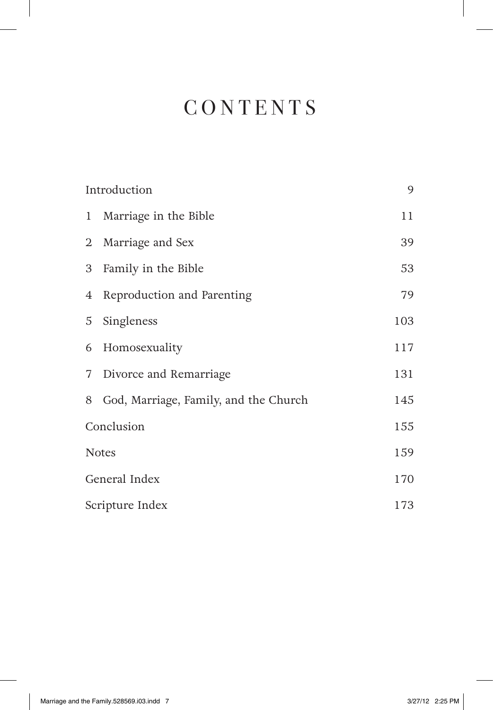# **CONTENTS**

|                 | Introduction                            | 9   |
|-----------------|-----------------------------------------|-----|
| $\mathbf{1}$    | Marriage in the Bible                   | 11  |
|                 | 2 Marriage and Sex                      | 39  |
| 3               | Family in the Bible                     | 53  |
| $4\overline{ }$ | Reproduction and Parenting              | 79  |
| 5               | Singleness                              | 103 |
| 6               | Homosexuality                           | 117 |
| 7 <sup>7</sup>  | Divorce and Remarriage                  | 131 |
|                 | 8 God, Marriage, Family, and the Church | 145 |
| Conclusion      |                                         | 155 |
| <b>Notes</b>    |                                         | 159 |
| General Index   | 170                                     |     |
| Scripture Index | 173                                     |     |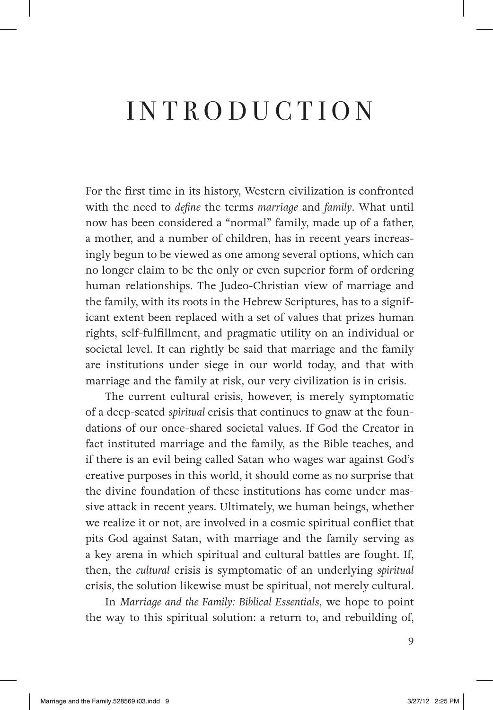# INTRODUCTION

For the first time in its history, Western civilization is confronted with the need to *define* the terms *marriage* and *family*. What until now has been considered a "normal" family, made up of a father, a mother, and a number of children, has in recent years increasingly begun to be viewed as one among several options, which can no longer claim to be the only or even superior form of ordering human relationships. The Judeo-Christian view of marriage and the family, with its roots in the Hebrew Scriptures, has to a significant extent been replaced with a set of values that prizes human rights, self-fulfillment, and pragmatic utility on an individual or societal level. It can rightly be said that marriage and the family are institutions under siege in our world today, and that with marriage and the family at risk, our very civilization is in crisis.

The current cultural crisis, however, is merely symptomatic of a deep-seated *spiritual* crisis that continues to gnaw at the foundations of our once-shared societal values. If God the Creator in fact instituted marriage and the family, as the Bible teaches, and if there is an evil being called Satan who wages war against God's creative purposes in this world, it should come as no surprise that the divine foundation of these institutions has come under massive attack in recent years. Ultimately, we human beings, whether we realize it or not, are involved in a cosmic spiritual conflict that pits God against Satan, with marriage and the family serving as a key arena in which spiritual and cultural battles are fought. If, then, the *cultural* crisis is symptomatic of an underlying *spiritual* crisis, the solution likewise must be spiritual, not merely cultural.

In *Marriage and the Family: Biblical Essentials*, we hope to point the way to this spiritual solution: a return to, and rebuilding of,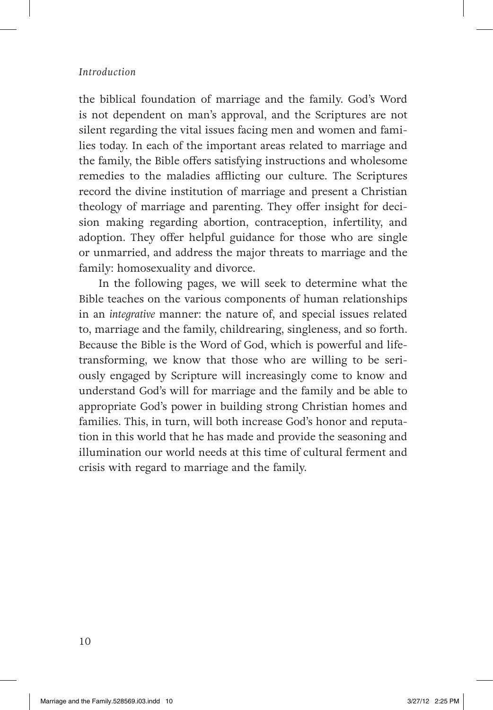#### *Introduction*

the biblical foundation of marriage and the family. God's Word is not dependent on man's approval, and the Scriptures are not silent regarding the vital issues facing men and women and families today. In each of the important areas related to marriage and the family, the Bible offers satisfying instructions and wholesome remedies to the maladies afflicting our culture. The Scriptures record the divine institution of marriage and present a Christian theology of marriage and parenting. They offer insight for decision making regarding abortion, contraception, infertility, and adoption. They offer helpful guidance for those who are single or unmarried, and address the major threats to marriage and the family: homosexuality and divorce.

In the following pages, we will seek to determine what the Bible teaches on the various components of human relationships in an *integrative* manner: the nature of, and special issues related to, marriage and the family, childrearing, singleness, and so forth. Because the Bible is the Word of God, which is powerful and lifetransforming, we know that those who are willing to be seriously engaged by Scripture will increasingly come to know and understand God's will for marriage and the family and be able to appropriate God's power in building strong Christian homes and families. This, in turn, will both increase God's honor and reputation in this world that he has made and provide the seasoning and illumination our world needs at this time of cultural ferment and crisis with regard to marriage and the family.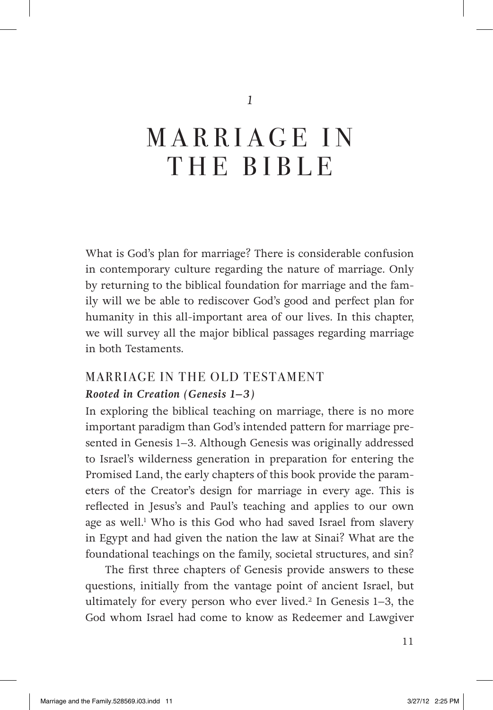*1*

# MARRIAGE IN THE BIBLE

What is God's plan for marriage? There is considerable confusion in contemporary culture regarding the nature of marriage. Only by returning to the biblical foundation for marriage and the family will we be able to rediscover God's good and perfect plan for humanity in this all-important area of our lives. In this chapter, we will survey all the major biblical passages regarding marriage in both Testaments.

# MARRIAGE IN THE OLD TESTAMENT *Rooted in Creation (Genesis 1–3)*

In exploring the biblical teaching on marriage, there is no more important paradigm than God's intended pattern for marriage presented in Genesis 1–3. Although Genesis was originally addressed to Israel's wilderness generation in preparation for entering the Promised Land, the early chapters of this book provide the parameters of the Creator's design for marriage in every age. This is reflected in Jesus's and Paul's teaching and applies to our own age as well.<sup>1</sup> Who is this God who had saved Israel from slavery in Egypt and had given the nation the law at Sinai? What are the foundational teachings on the family, societal structures, and sin?

The first three chapters of Genesis provide answers to these questions, initially from the vantage point of ancient Israel, but ultimately for every person who ever lived.2 In Genesis 1–3, the God whom Israel had come to know as Redeemer and Lawgiver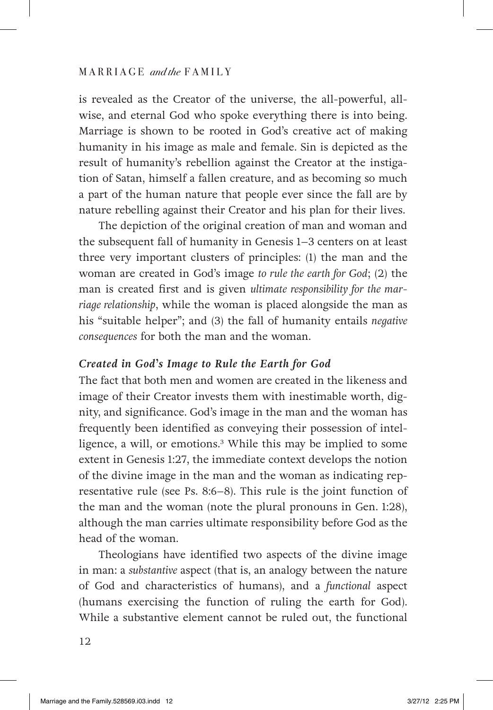is revealed as the Creator of the universe, the all-powerful, allwise, and eternal God who spoke everything there is into being. Marriage is shown to be rooted in God's creative act of making humanity in his image as male and female. Sin is depicted as the result of humanity's rebellion against the Creator at the instigation of Satan, himself a fallen creature, and as becoming so much a part of the human nature that people ever since the fall are by nature rebelling against their Creator and his plan for their lives.

The depiction of the original creation of man and woman and the subsequent fall of humanity in Genesis 1–3 centers on at least three very important clusters of principles: (1) the man and the woman are created in God's image *to rule the earth for God*; (2) the man is created first and is given *ultimate responsibility for the marriage relationship*, while the woman is placed alongside the man as his "suitable helper"; and (3) the fall of humanity entails *negative consequences* for both the man and the woman.

#### *Created in God's Image to Rule the Earth for God*

The fact that both men and women are created in the likeness and image of their Creator invests them with inestimable worth, dignity, and significance. God's image in the man and the woman has frequently been identified as conveying their possession of intelligence, a will, or emotions.3 While this may be implied to some extent in Genesis 1:27, the immediate context develops the notion of the divine image in the man and the woman as indicating representative rule (see Ps. 8:6–8). This rule is the joint function of the man and the woman (note the plural pronouns in Gen. 1:28), although the man carries ultimate responsibility before God as the head of the woman.

Theologians have identified two aspects of the divine image in man: a *substantive* aspect (that is, an analogy between the nature of God and characteristics of humans), and a *functional* aspect (humans exercising the function of ruling the earth for God). While a substantive element cannot be ruled out, the functional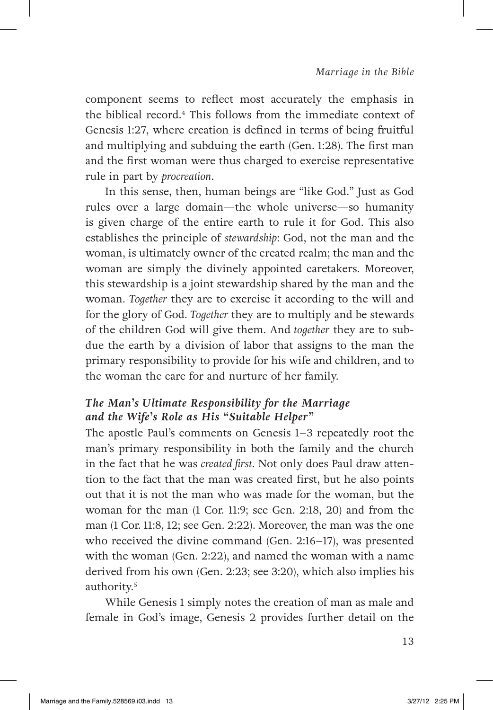component seems to reflect most accurately the emphasis in the biblical record.<sup>4</sup> This follows from the immediate context of Genesis 1:27, where creation is defined in terms of being fruitful and multiplying and subduing the earth (Gen. 1:28). The first man and the first woman were thus charged to exercise representative rule in part by *procreation*.

In this sense, then, human beings are "like God." Just as God rules over a large domain—the whole universe—so humanity is given charge of the entire earth to rule it for God. This also establishes the principle of *stewardship*: God, not the man and the woman, is ultimately owner of the created realm; the man and the woman are simply the divinely appointed caretakers. Moreover, this stewardship is a joint stewardship shared by the man and the woman. *Together* they are to exercise it according to the will and for the glory of God. *Together* they are to multiply and be stewards of the children God will give them. And *together* they are to subdue the earth by a division of labor that assigns to the man the primary responsibility to provide for his wife and children, and to the woman the care for and nurture of her family.

## *The Man's Ultimate Responsibility for the Marriage and the Wife's Role as His "Suitable Helper"*

The apostle Paul's comments on Genesis 1–3 repeatedly root the man's primary responsibility in both the family and the church in the fact that he was *created first*. Not only does Paul draw attention to the fact that the man was created first, but he also points out that it is not the man who was made for the woman, but the woman for the man  $(1 \text{ Cor. } 11:9; \text{ see Gen. } 2:18, 20)$  and from the man (1 Cor. 11:8, 12; see Gen. 2:22). Moreover, the man was the one who received the divine command (Gen. 2:16–17), was presented with the woman (Gen. 2:22), and named the woman with a name derived from his own (Gen. 2:23; see 3:20), which also implies his authority.5

While Genesis 1 simply notes the creation of man as male and female in God's image, Genesis 2 provides further detail on the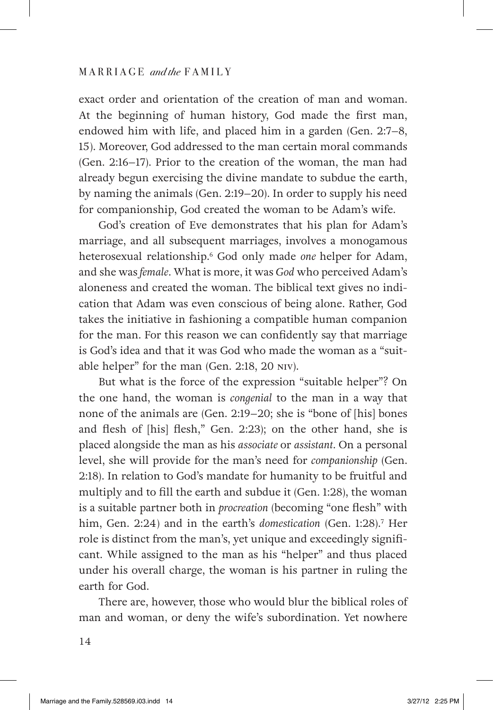exact order and orientation of the creation of man and woman. At the beginning of human history, God made the first man, endowed him with life, and placed him in a garden (Gen. 2:7–8, 15). Moreover, God addressed to the man certain moral commands (Gen. 2:16–17). Prior to the creation of the woman, the man had already begun exercising the divine mandate to subdue the earth, by naming the animals (Gen. 2:19–20). In order to supply his need for companionship, God created the woman to be Adam's wife.

God's creation of Eve demonstrates that his plan for Adam's marriage, and all subsequent marriages, involves a monogamous heterosexual relationship.6 God only made *one* helper for Adam, and she was *female*. What is more, it was *God* who perceived Adam's aloneness and created the woman. The biblical text gives no indication that Adam was even conscious of being alone. Rather, God takes the initiative in fashioning a compatible human companion for the man. For this reason we can confidently say that marriage is God's idea and that it was God who made the woman as a "suitable helper" for the man (Gen. 2:18, 20 NIV).

But what is the force of the expression "suitable helper"? On the one hand, the woman is *congenial* to the man in a way that none of the animals are (Gen. 2:19–20; she is "bone of [his] bones and flesh of [his] flesh," Gen. 2:23); on the other hand, she is placed alongside the man as his *associate* or *assistant*. On a personal level, she will provide for the man's need for *companionship* (Gen. 2:18). In relation to God's mandate for humanity to be fruitful and multiply and to fill the earth and subdue it (Gen. 1:28), the woman is a suitable partner both in *procreation* (becoming "one flesh" with him, Gen. 2:24) and in the earth's *domestication* (Gen. 1:28).7 Her role is distinct from the man's, yet unique and exceedingly significant. While assigned to the man as his "helper" and thus placed under his overall charge, the woman is his partner in ruling the earth for God.

There are, however, those who would blur the biblical roles of man and woman, or deny the wife's subordination. Yet nowhere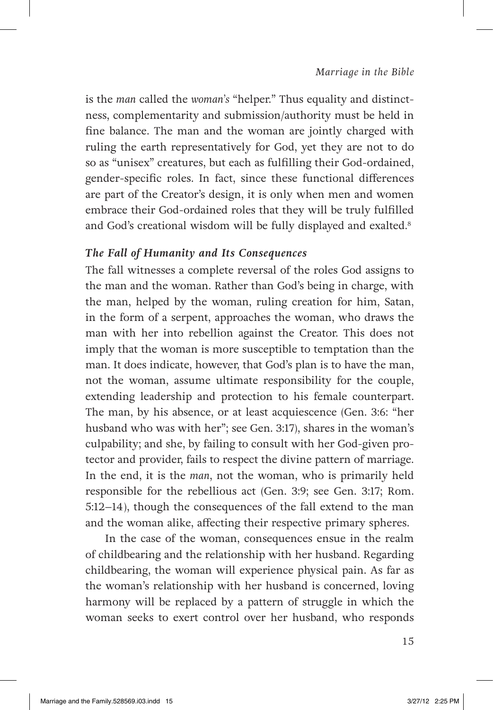is the *man* called the *woman's* "helper." Thus equality and distinctness, complementarity and submission/authority must be held in fine balance. The man and the woman are jointly charged with ruling the earth representatively for God, yet they are not to do so as "unisex" creatures, but each as fulfilling their God-ordained, gender-specific roles. In fact, since these functional differences are part of the Creator's design, it is only when men and women embrace their God-ordained roles that they will be truly fulfilled and God's creational wisdom will be fully displayed and exalted.<sup>8</sup>

#### *The Fall of Humanity and Its Consequences*

The fall witnesses a complete reversal of the roles God assigns to the man and the woman. Rather than God's being in charge, with the man, helped by the woman, ruling creation for him, Satan, in the form of a serpent, approaches the woman, who draws the man with her into rebellion against the Creator. This does not imply that the woman is more susceptible to temptation than the man. It does indicate, however, that God's plan is to have the man, not the woman, assume ultimate responsibility for the couple, extending leadership and protection to his female counterpart. The man, by his absence, or at least acquiescence (Gen. 3:6: "her husband who was with her"; see Gen. 3:17), shares in the woman's culpability; and she, by failing to consult with her God-given protector and provider, fails to respect the divine pattern of marriage. In the end, it is the *man*, not the woman, who is primarily held responsible for the rebellious act (Gen. 3:9; see Gen. 3:17; Rom. 5:12–14), though the consequences of the fall extend to the man and the woman alike, affecting their respective primary spheres.

In the case of the woman, consequences ensue in the realm of childbearing and the relationship with her husband. Regarding childbearing, the woman will experience physical pain. As far as the woman's relationship with her husband is concerned, loving harmony will be replaced by a pattern of struggle in which the woman seeks to exert control over her husband, who responds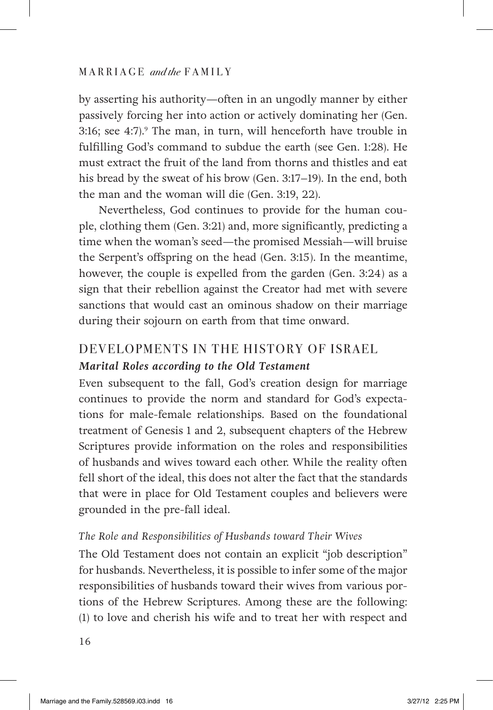by asserting his authority—often in an ungodly manner by either passively forcing her into action or actively dominating her (Gen. 3:16; see 4:7).<sup>9</sup> The man, in turn, will henceforth have trouble in fulfilling God's command to subdue the earth (see Gen. 1:28). He must extract the fruit of the land from thorns and thistles and eat his bread by the sweat of his brow (Gen. 3:17–19). In the end, both the man and the woman will die (Gen. 3:19, 22).

Nevertheless, God continues to provide for the human couple, clothing them (Gen. 3:21) and, more significantly, predicting a time when the woman's seed—the promised Messiah—will bruise the Serpent's offspring on the head (Gen. 3:15). In the meantime, however, the couple is expelled from the garden (Gen. 3:24) as a sign that their rebellion against the Creator had met with severe sanctions that would cast an ominous shadow on their marriage during their sojourn on earth from that time onward.

# DEVELOPMENTS IN THE HISTORY OF ISRAEL *Marital Roles according to the Old Testament*

Even subsequent to the fall, God's creation design for marriage continues to provide the norm and standard for God's expectations for male-female relationships. Based on the foundational treatment of Genesis 1 and 2, subsequent chapters of the Hebrew Scriptures provide information on the roles and responsibilities of husbands and wives toward each other. While the reality often fell short of the ideal, this does not alter the fact that the standards that were in place for Old Testament couples and believers were grounded in the pre-fall ideal.

#### *The Role and Responsibilities of Husbands toward Their Wives*

The Old Testament does not contain an explicit "job description" for husbands. Nevertheless, it is possible to infer some of the major responsibilities of husbands toward their wives from various portions of the Hebrew Scriptures. Among these are the following: (1) to love and cherish his wife and to treat her with respect and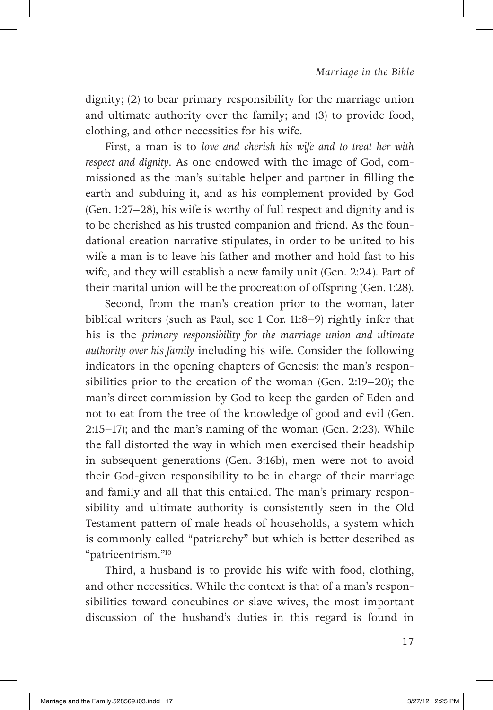dignity; (2) to bear primary responsibility for the marriage union and ultimate authority over the family; and (3) to provide food, clothing, and other necessities for his wife.

First, a man is to *love and cherish his wife and to treat her with respect and dignity*. As one endowed with the image of God, commissioned as the man's suitable helper and partner in filling the earth and subduing it, and as his complement provided by God (Gen. 1:27–28), his wife is worthy of full respect and dignity and is to be cherished as his trusted companion and friend. As the foundational creation narrative stipulates, in order to be united to his wife a man is to leave his father and mother and hold fast to his wife, and they will establish a new family unit (Gen. 2:24). Part of their marital union will be the procreation of offspring (Gen. 1:28).

Second, from the man's creation prior to the woman, later biblical writers (such as Paul, see 1 Cor. 11:8–9) rightly infer that his is the *primary responsibility for the marriage union and ultimate authority over his family* including his wife. Consider the following indicators in the opening chapters of Genesis: the man's responsibilities prior to the creation of the woman (Gen. 2:19–20); the man's direct commission by God to keep the garden of Eden and not to eat from the tree of the knowledge of good and evil (Gen. 2:15–17); and the man's naming of the woman (Gen. 2:23). While the fall distorted the way in which men exercised their headship in subsequent generations (Gen. 3:16b), men were not to avoid their God-given responsibility to be in charge of their marriage and family and all that this entailed. The man's primary responsibility and ultimate authority is consistently seen in the Old Testament pattern of male heads of households, a system which is commonly called "patriarchy" but which is better described as "patricentrism."10

Third, a husband is to provide his wife with food, clothing, and other necessities. While the context is that of a man's responsibilities toward concubines or slave wives, the most important discussion of the husband's duties in this regard is found in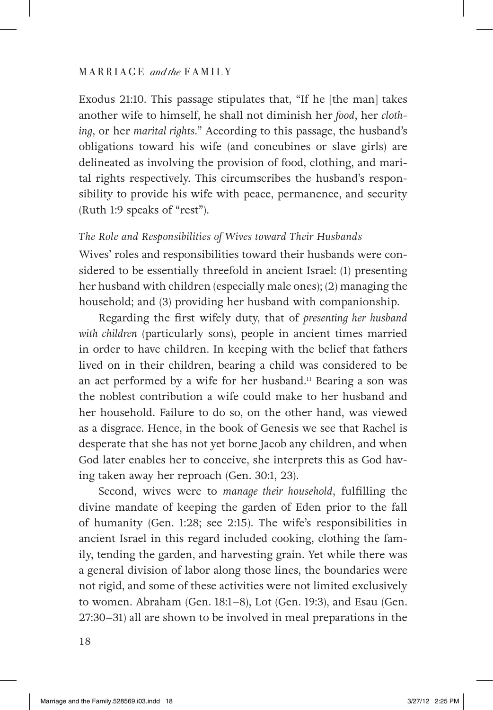Exodus 21:10. This passage stipulates that, "If he [the man] takes another wife to himself, he shall not diminish her *food*, her *clothing*, or her *marital rights*." According to this passage, the husband's obligations toward his wife (and concubines or slave girls) are delineated as involving the provision of food, clothing, and marital rights respectively. This circumscribes the husband's responsibility to provide his wife with peace, permanence, and security (Ruth 1:9 speaks of "rest").

#### *The Role and Responsibilities of Wives toward Their Husbands*

Wives' roles and responsibilities toward their husbands were considered to be essentially threefold in ancient Israel: (1) presenting her husband with children (especially male ones); (2) managing the household; and (3) providing her husband with companionship.

Regarding the first wifely duty, that of *presenting her husband with children* (particularly sons), people in ancient times married in order to have children. In keeping with the belief that fathers lived on in their children, bearing a child was considered to be an act performed by a wife for her husband.<sup>11</sup> Bearing a son was the noblest contribution a wife could make to her husband and her household. Failure to do so, on the other hand, was viewed as a disgrace. Hence, in the book of Genesis we see that Rachel is desperate that she has not yet borne Jacob any children, and when God later enables her to conceive, she interprets this as God having taken away her reproach (Gen. 30:1, 23).

Second, wives were to *manage their household*, fulfilling the divine mandate of keeping the garden of Eden prior to the fall of humanity (Gen. 1:28; see 2:15). The wife's responsibilities in ancient Israel in this regard included cooking, clothing the family, tending the garden, and harvesting grain. Yet while there was a general division of labor along those lines, the boundaries were not rigid, and some of these activities were not limited exclusively to women. Abraham (Gen. 18:1–8), Lot (Gen. 19:3), and Esau (Gen. 27:30–31) all are shown to be involved in meal preparations in the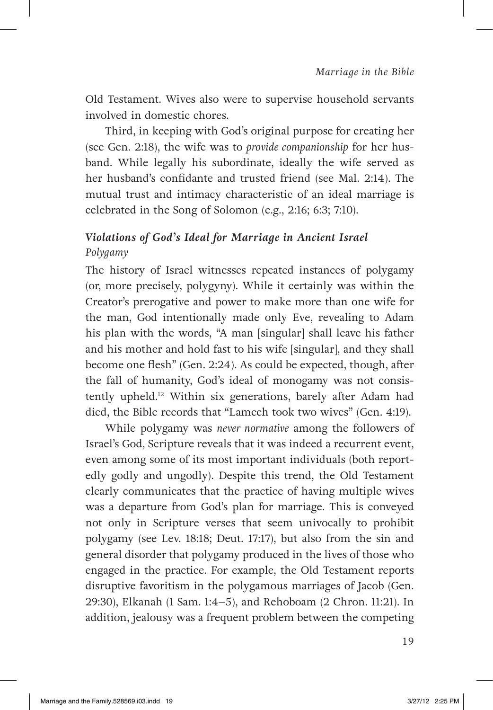Old Testament. Wives also were to supervise household servants involved in domestic chores.

Third, in keeping with God's original purpose for creating her (see Gen. 2:18), the wife was to *provide companionship* for her husband. While legally his subordinate, ideally the wife served as her husband's confidante and trusted friend (see Mal. 2:14). The mutual trust and intimacy characteristic of an ideal marriage is celebrated in the Song of Solomon (e.g., 2:16; 6:3; 7:10).

## *Violations of God's Ideal for Marriage in Ancient Israel Polygamy*

The history of Israel witnesses repeated instances of polygamy (or, more precisely, polygyny). While it certainly was within the Creator's prerogative and power to make more than one wife for the man, God intentionally made only Eve, revealing to Adam his plan with the words, "A man [singular] shall leave his father and his mother and hold fast to his wife [singular], and they shall become one flesh" (Gen. 2:24). As could be expected, though, after the fall of humanity, God's ideal of monogamy was not consistently upheld.<sup>12</sup> Within six generations, barely after Adam had died, the Bible records that "Lamech took two wives" (Gen. 4:19).

While polygamy was *never normative* among the followers of Israel's God, Scripture reveals that it was indeed a recurrent event, even among some of its most important individuals (both reportedly godly and ungodly). Despite this trend, the Old Testament clearly communicates that the practice of having multiple wives was a departure from God's plan for marriage. This is conveyed not only in Scripture verses that seem univocally to prohibit polygamy (see Lev. 18:18; Deut. 17:17), but also from the sin and general disorder that polygamy produced in the lives of those who engaged in the practice. For example, the Old Testament reports disruptive favoritism in the polygamous marriages of Jacob (Gen. 29:30), Elkanah (1 Sam. 1:4–5), and Rehoboam (2 Chron. 11:21). In addition, jealousy was a frequent problem between the competing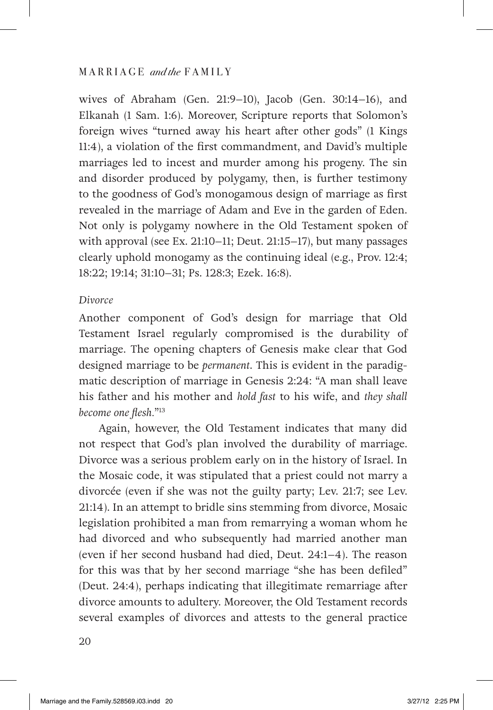wives of Abraham (Gen. 21:9–10), Jacob (Gen. 30:14–16), and Elkanah (1 Sam. 1:6). Moreover, Scripture reports that Solomon's foreign wives "turned away his heart after other gods" (1 Kings 11:4), a violation of the first commandment, and David's multiple marriages led to incest and murder among his progeny. The sin and disorder produced by polygamy, then, is further testimony to the goodness of God's monogamous design of marriage as first revealed in the marriage of Adam and Eve in the garden of Eden. Not only is polygamy nowhere in the Old Testament spoken of with approval (see Ex. 21:10–11; Deut. 21:15–17), but many passages clearly uphold monogamy as the continuing ideal (e.g., Prov. 12:4; 18:22; 19:14; 31:10–31; Ps. 128:3; Ezek. 16:8).

#### *Divorce*

Another component of God's design for marriage that Old Testament Israel regularly compromised is the durability of marriage. The opening chapters of Genesis make clear that God designed marriage to be *permanent*. This is evident in the paradigmatic description of marriage in Genesis 2:24: "A man shall leave his father and his mother and *hold fast* to his wife, and *they shall become one flesh.*"13

Again, however, the Old Testament indicates that many did not respect that God's plan involved the durability of marriage. Divorce was a serious problem early on in the history of Israel. In the Mosaic code, it was stipulated that a priest could not marry a divorcée (even if she was not the guilty party; Lev. 21:7; see Lev. 21:14). In an attempt to bridle sins stemming from divorce, Mosaic legislation prohibited a man from remarrying a woman whom he had divorced and who subsequently had married another man (even if her second husband had died, Deut. 24:1–4). The reason for this was that by her second marriage "she has been defiled" (Deut. 24:4), perhaps indicating that illegitimate remarriage after divorce amounts to adultery. Moreover, the Old Testament records several examples of divorces and attests to the general practice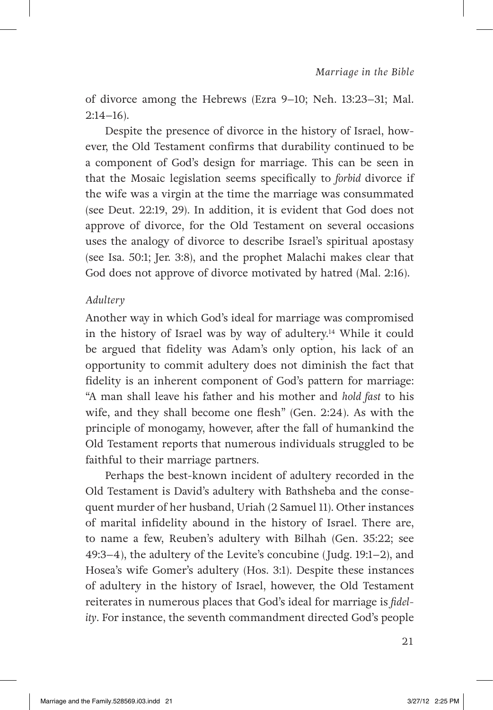of divorce among the Hebrews (Ezra 9–10; Neh. 13:23–31; Mal.  $2:14-16$ ).

Despite the presence of divorce in the history of Israel, however, the Old Testament confirms that durability continued to be a component of God's design for marriage. This can be seen in that the Mosaic legislation seems specifically to *forbid* divorce if the wife was a virgin at the time the marriage was consummated (see Deut. 22:19, 29). In addition, it is evident that God does not approve of divorce, for the Old Testament on several occasions uses the analogy of divorce to describe Israel's spiritual apostasy (see Isa. 50:1; Jer. 3:8), and the prophet Malachi makes clear that God does not approve of divorce motivated by hatred (Mal. 2:16).

#### *Adultery*

Another way in which God's ideal for marriage was compromised in the history of Israel was by way of adultery.<sup>14</sup> While it could be argued that fidelity was Adam's only option, his lack of an opportunity to commit adultery does not diminish the fact that fidelity is an inherent component of God's pattern for marriage: "A man shall leave his father and his mother and *hold fast* to his wife, and they shall become one flesh" (Gen. 2:24). As with the principle of monogamy, however, after the fall of humankind the Old Testament reports that numerous individuals struggled to be faithful to their marriage partners.

Perhaps the best-known incident of adultery recorded in the Old Testament is David's adultery with Bathsheba and the consequent murder of her husband, Uriah (2 Samuel 11). Other instances of marital infidelity abound in the history of Israel. There are, to name a few, Reuben's adultery with Bilhah (Gen. 35:22; see 49:3–4), the adultery of the Levite's concubine (Judg. 19:1–2), and Hosea's wife Gomer's adultery (Hos. 3:1). Despite these instances of adultery in the history of Israel, however, the Old Testament reiterates in numerous places that God's ideal for marriage is *fidelity*. For instance, the seventh commandment directed God's people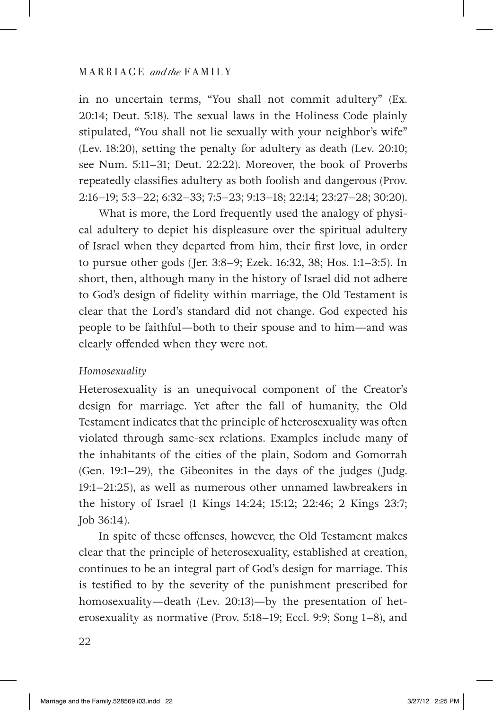in no uncertain terms, "You shall not commit adultery" (Ex. 20:14; Deut. 5:18). The sexual laws in the Holiness Code plainly stipulated, "You shall not lie sexually with your neighbor's wife" (Lev. 18:20), setting the penalty for adultery as death (Lev. 20:10; see Num. 5:11–31; Deut. 22:22). Moreover, the book of Proverbs repeatedly classifies adultery as both foolish and dangerous (Prov. 2:16–19; 5:3–22; 6:32–33; 7:5–23; 9:13–18; 22:14; 23:27–28; 30:20).

What is more, the Lord frequently used the analogy of physical adultery to depict his displeasure over the spiritual adultery of Israel when they departed from him, their first love, in order to pursue other gods (Jer. 3:8–9; Ezek. 16:32, 38; Hos. 1:1–3:5). In short, then, although many in the history of Israel did not adhere to God's design of fidelity within marriage, the Old Testament is clear that the Lord's standard did not change. God expected his people to be faithful—both to their spouse and to him—and was clearly offended when they were not.

#### *Homosexuality*

Heterosexuality is an unequivocal component of the Creator's design for marriage. Yet after the fall of humanity, the Old Testament indicates that the principle of heterosexuality was often violated through same-sex relations. Examples include many of the inhabitants of the cities of the plain, Sodom and Gomorrah (Gen. 19:1–29), the Gibeonites in the days of the judges (Judg. 19:1–21:25), as well as numerous other unnamed lawbreakers in the history of Israel (1 Kings 14:24; 15:12; 22:46; 2 Kings 23:7; Job 36:14).

In spite of these offenses, however, the Old Testament makes clear that the principle of heterosexuality, established at creation, continues to be an integral part of God's design for marriage. This is testified to by the severity of the punishment prescribed for homosexuality—death (Lev. 20:13)—by the presentation of heterosexuality as normative (Prov. 5:18–19; Eccl. 9:9; Song 1–8), and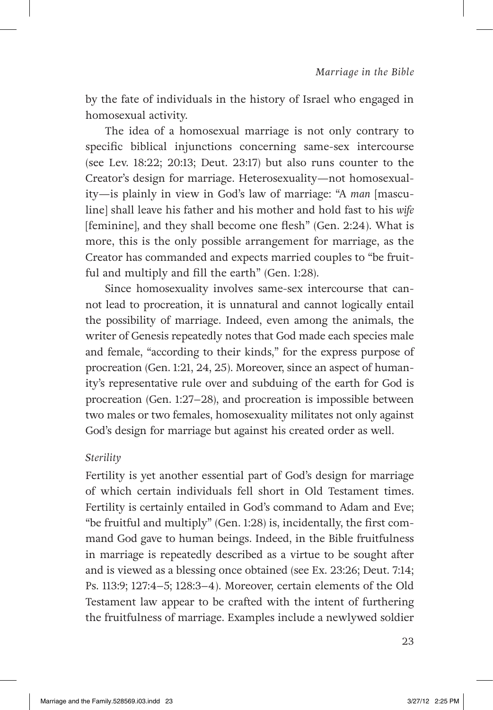by the fate of individuals in the history of Israel who engaged in homosexual activity.

The idea of a homosexual marriage is not only contrary to specific biblical injunctions concerning same-sex intercourse (see Lev. 18:22; 20:13; Deut. 23:17) but also runs counter to the Creator's design for marriage. Heterosexuality—not homosexuality—is plainly in view in God's law of marriage: "A *man* [masculine] shall leave his father and his mother and hold fast to his *wife*  [feminine], and they shall become one flesh" (Gen. 2:24). What is more, this is the only possible arrangement for marriage, as the Creator has commanded and expects married couples to "be fruitful and multiply and fill the earth" (Gen. 1:28).

Since homosexuality involves same-sex intercourse that cannot lead to procreation, it is unnatural and cannot logically entail the possibility of marriage. Indeed, even among the animals, the writer of Genesis repeatedly notes that God made each species male and female, "according to their kinds," for the express purpose of procreation (Gen. 1:21, 24, 25). Moreover, since an aspect of humanity's representative rule over and subduing of the earth for God is procreation (Gen. 1:27–28), and procreation is impossible between two males or two females, homosexuality militates not only against God's design for marriage but against his created order as well.

#### *Sterility*

Fertility is yet another essential part of God's design for marriage of which certain individuals fell short in Old Testament times. Fertility is certainly entailed in God's command to Adam and Eve; "be fruitful and multiply" (Gen. 1:28) is, incidentally, the first command God gave to human beings. Indeed, in the Bible fruitfulness in marriage is repeatedly described as a virtue to be sought after and is viewed as a blessing once obtained (see Ex. 23:26; Deut. 7:14; Ps. 113:9; 127:4–5; 128:3–4). Moreover, certain elements of the Old Testament law appear to be crafted with the intent of furthering the fruitfulness of marriage. Examples include a newlywed soldier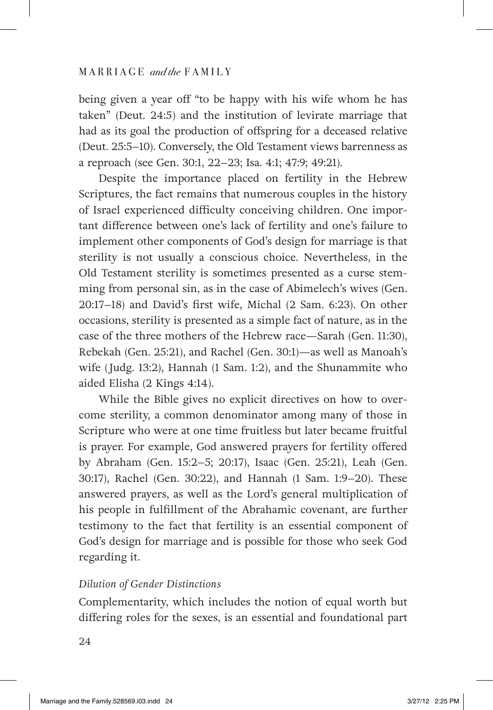being given a year off "to be happy with his wife whom he has taken" (Deut. 24:5) and the institution of levirate marriage that had as its goal the production of offspring for a deceased relative (Deut. 25:5–10). Conversely, the Old Testament views barrenness as a reproach (see Gen. 30:1, 22–23; Isa. 4:1; 47:9; 49:21).

Despite the importance placed on fertility in the Hebrew Scriptures, the fact remains that numerous couples in the history of Israel experienced difficulty conceiving children. One important difference between one's lack of fertility and one's failure to implement other components of God's design for marriage is that sterility is not usually a conscious choice. Nevertheless, in the Old Testament sterility is sometimes presented as a curse stemming from personal sin, as in the case of Abimelech's wives (Gen. 20:17–18) and David's first wife, Michal (2 Sam. 6:23). On other occasions, sterility is presented as a simple fact of nature, as in the case of the three mothers of the Hebrew race—Sarah (Gen. 11:30), Rebekah (Gen. 25:21), and Rachel (Gen. 30:1)—as well as Manoah's wife (Judg. 13:2), Hannah (1 Sam. 1:2), and the Shunammite who aided Elisha (2 Kings 4:14).

While the Bible gives no explicit directives on how to overcome sterility, a common denominator among many of those in Scripture who were at one time fruitless but later became fruitful is prayer. For example, God answered prayers for fertility offered by Abraham (Gen. 15:2–5; 20:17), Isaac (Gen. 25:21), Leah (Gen. 30:17), Rachel (Gen. 30:22), and Hannah (1 Sam. 1:9–20). These answered prayers, as well as the Lord's general multiplication of his people in fulfillment of the Abrahamic covenant, are further testimony to the fact that fertility is an essential component of God's design for marriage and is possible for those who seek God regarding it.

#### *Dilution of Gender Distinctions*

Complementarity, which includes the notion of equal worth but differing roles for the sexes, is an essential and foundational part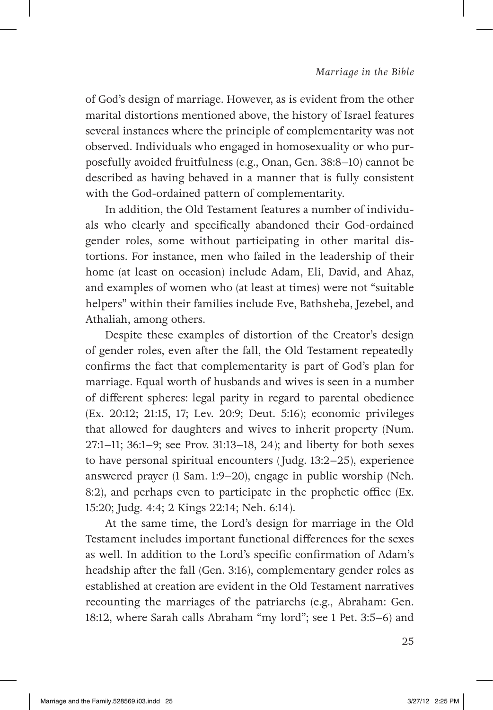of God's design of marriage. However, as is evident from the other marital distortions mentioned above, the history of Israel features several instances where the principle of complementarity was not observed. Individuals who engaged in homosexuality or who purposefully avoided fruitfulness (e.g., Onan, Gen. 38:8-10) cannot be described as having behaved in a manner that is fully consistent with the God-ordained pattern of complementarity.

In addition, the Old Testament features a number of individuals who clearly and specifically abandoned their God-ordained gender roles, some without participating in other marital distortions. For instance, men who failed in the leadership of their home (at least on occasion) include Adam, Eli, David, and Ahaz, and examples of women who (at least at times) were not "suitable helpers" within their families include Eve, Bathsheba, Jezebel, and Athaliah, among others.

Despite these examples of distortion of the Creator's design of gender roles, even after the fall, the Old Testament repeatedly confirms the fact that complementarity is part of God's plan for marriage. Equal worth of husbands and wives is seen in a number of different spheres: legal parity in regard to parental obedience (Ex. 20:12; 21:15, 17; Lev. 20:9; Deut. 5:16); economic privileges that allowed for daughters and wives to inherit property (Num. 27:1–11; 36:1–9; see Prov. 31:13–18, 24); and liberty for both sexes to have personal spiritual encounters (Judg. 13:2–25), experience answered prayer (1 Sam. 1:9–20), engage in public worship (Neh.  $8:2$ ), and perhaps even to participate in the prophetic office (Ex. 15:20; Judg. 4:4; 2 Kings 22:14; Neh. 6:14).

At the same time, the Lord's design for marriage in the Old Testament includes important functional differences for the sexes as well. In addition to the Lord's specific confirmation of Adam's headship after the fall (Gen. 3:16), complementary gender roles as established at creation are evident in the Old Testament narratives recounting the marriages of the patriarchs (e.g., Abraham: Gen. 18:12, where Sarah calls Abraham "my lord"; see 1 Pet. 3:5–6) and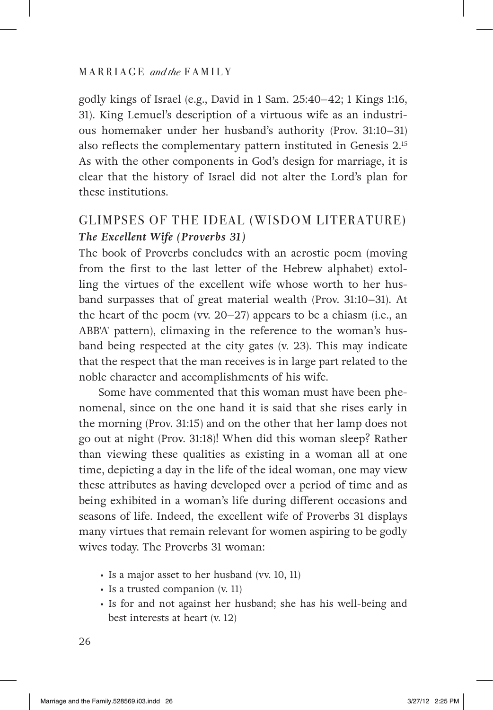godly kings of Israel (e.g., David in 1 Sam. 25:40–42; 1 Kings 1:16, 31). King Lemuel's description of a virtuous wife as an industrious homemaker under her husband's authority (Prov. 31:10–31) also reflects the complementary pattern instituted in Genesis 2.15 As with the other components in God's design for marriage, it is clear that the history of Israel did not alter the Lord's plan for these institutions.

# GLIMPSES OF THE IDEAL (WISDOM LITERATURE) *The Excellent Wife (Proverbs 31)*

The book of Proverbs concludes with an acrostic poem (moving from the first to the last letter of the Hebrew alphabet) extolling the virtues of the excellent wife whose worth to her husband surpasses that of great material wealth (Prov. 31:10–31). At the heart of the poem (vv. 20–27) appears to be a chiasm (i.e., an ABB'A' pattern), climaxing in the reference to the woman's husband being respected at the city gates (v. 23). This may indicate that the respect that the man receives is in large part related to the noble character and accomplishments of his wife.

Some have commented that this woman must have been phenomenal, since on the one hand it is said that she rises early in the morning (Prov. 31:15) and on the other that her lamp does not go out at night (Prov. 31:18)! When did this woman sleep? Rather than viewing these qualities as existing in a woman all at one time, depicting a day in the life of the ideal woman, one may view these attributes as having developed over a period of time and as being exhibited in a woman's life during different occasions and seasons of life. Indeed, the excellent wife of Proverbs 31 displays many virtues that remain relevant for women aspiring to be godly wives today. The Proverbs 31 woman:

- b-Is a major asset to her husband (vv. 10, 11)
- Is a trusted companion (v. 11)
- b-Is for and not against her husband; she has his well-being and best interests at heart (v. 12)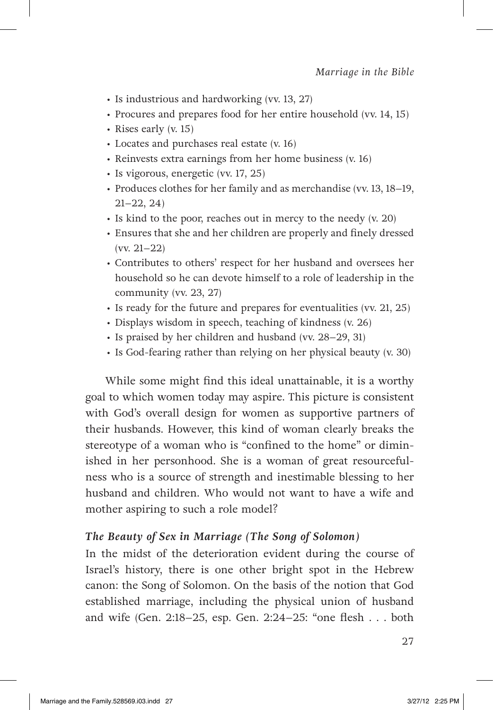- b-Is industrious and hardworking (vv. 13, 27)
- Procures and prepares food for her entire household (vv. 14, 15)
- Rises early (v. 15)
- Locates and purchases real estate (v. 16)
- Reinvests extra earnings from her home business (v. 16)
- b-Is vigorous, energetic (vv. 17, 25)
- b- Produces clothes for her family and as merchandise (vv. 13, 18–19, 21–22, 24)
- b-Is kind to the poor, reaches out in mercy to the needy (v. 20)
- Ensures that she and her children are properly and finely dressed (vv. 21–22)
- Contributes to others' respect for her husband and oversees her household so he can devote himself to a role of leadership in the community (vv. 23, 27)
- Is ready for the future and prepares for eventualities (vv. 21, 25)
- Displays wisdom in speech, teaching of kindness (v. 26)
- b-Is praised by her children and husband (vv. 28–29, 31)
- Is God-fearing rather than relying on her physical beauty (v. 30)

While some might find this ideal unattainable, it is a worthy goal to which women today may aspire. This picture is consistent with God's overall design for women as supportive partners of their husbands. However, this kind of woman clearly breaks the stereotype of a woman who is "confined to the home" or diminished in her personhood. She is a woman of great resourcefulness who is a source of strength and inestimable blessing to her husband and children. Who would not want to have a wife and mother aspiring to such a role model?

#### *The Beauty of Sex in Marriage (The Song of Solomon)*

In the midst of the deterioration evident during the course of Israel's history, there is one other bright spot in the Hebrew canon: the Song of Solomon. On the basis of the notion that God established marriage, including the physical union of husband and wife (Gen. 2:18–25, esp. Gen. 2:24–25: "one flesh . . . both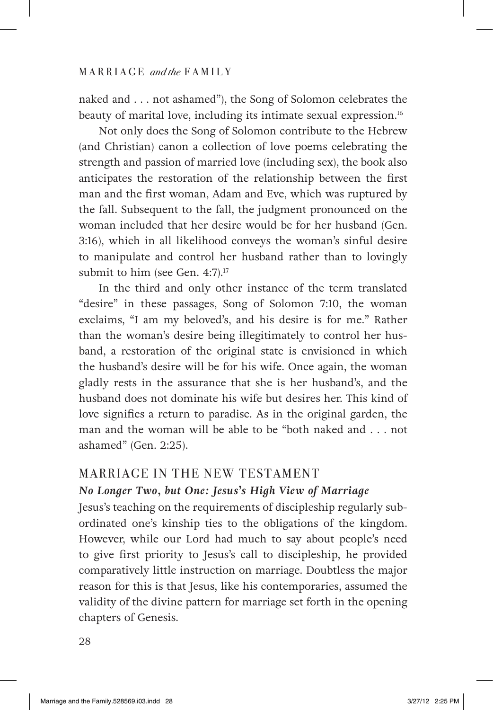naked and . . . not ashamed"), the Song of Solomon celebrates the beauty of marital love, including its intimate sexual expression.16

Not only does the Song of Solomon contribute to the Hebrew (and Christian) canon a collection of love poems celebrating the strength and passion of married love (including sex), the book also anticipates the restoration of the relationship between the first man and the first woman, Adam and Eve, which was ruptured by the fall. Subsequent to the fall, the judgment pronounced on the woman included that her desire would be for her husband (Gen. 3:16), which in all likelihood conveys the woman's sinful desire to manipulate and control her husband rather than to lovingly submit to him (see Gen. 4:7).<sup>17</sup>

In the third and only other instance of the term translated "desire" in these passages, Song of Solomon 7:10, the woman exclaims, "I am my beloved's, and his desire is for me." Rather than the woman's desire being illegitimately to control her husband, a restoration of the original state is envisioned in which the husband's desire will be for his wife. Once again, the woman gladly rests in the assurance that she is her husband's, and the husband does not dominate his wife but desires her. This kind of love signifies a return to paradise. As in the original garden, the man and the woman will be able to be "both naked and . . . not ashamed" (Gen. 2:25).

#### MARRIAGE IN THE NEW TESTAMENT

#### *No Longer Two, but One: Jesus's High View of Marriage*

Jesus's teaching on the requirements of discipleship regularly subordinated one's kinship ties to the obligations of the kingdom. However, while our Lord had much to say about people's need to give first priority to Jesus's call to discipleship, he provided comparatively little instruction on marriage. Doubtless the major reason for this is that Jesus, like his contemporaries, assumed the validity of the divine pattern for marriage set forth in the opening chapters of Genesis.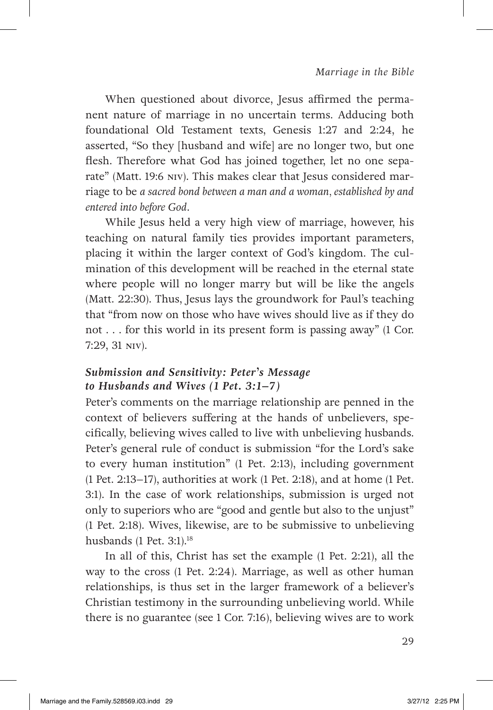When questioned about divorce, Jesus affirmed the permanent nature of marriage in no uncertain terms. Adducing both foundational Old Testament texts, Genesis 1:27 and 2:24, he asserted, "So they [husband and wife] are no longer two, but one flesh. Therefore what God has joined together, let no one separate" (Matt. 19:6 NIV). This makes clear that Jesus considered marriage to be *a sacred bond between a man and a woman, established by and entered into before God*.

While Jesus held a very high view of marriage, however, his teaching on natural family ties provides important parameters, placing it within the larger context of God's kingdom. The culmination of this development will be reached in the eternal state where people will no longer marry but will be like the angels (Matt. 22:30). Thus, Jesus lays the groundwork for Paul's teaching that "from now on those who have wives should live as if they do not . . . for this world in its present form is passing away" (1 Cor. 7:29, 31 NIV).

#### *Submission and Sensitivity: Peter's Message to Husbands and Wives (1 Pet. 3:1–7)*

Peter's comments on the marriage relationship are penned in the context of believers suffering at the hands of unbelievers, specifically, believing wives called to live with unbelieving husbands. Peter's general rule of conduct is submission "for the Lord's sake to every human institution" (1 Pet. 2:13), including government (1 Pet. 2:13–17), authorities at work (1 Pet. 2:18), and at home (1 Pet. 3:1). In the case of work relationships, submission is urged not only to superiors who are "good and gentle but also to the unjust" (1 Pet. 2:18). Wives, likewise, are to be submissive to unbelieving husbands (1 Pet. 3:1).<sup>18</sup>

In all of this, Christ has set the example (1 Pet. 2:21), all the way to the cross (1 Pet. 2:24). Marriage, as well as other human relationships, is thus set in the larger framework of a believer's Christian testimony in the surrounding unbelieving world. While there is no guarantee (see 1 Cor. 7:16), believing wives are to work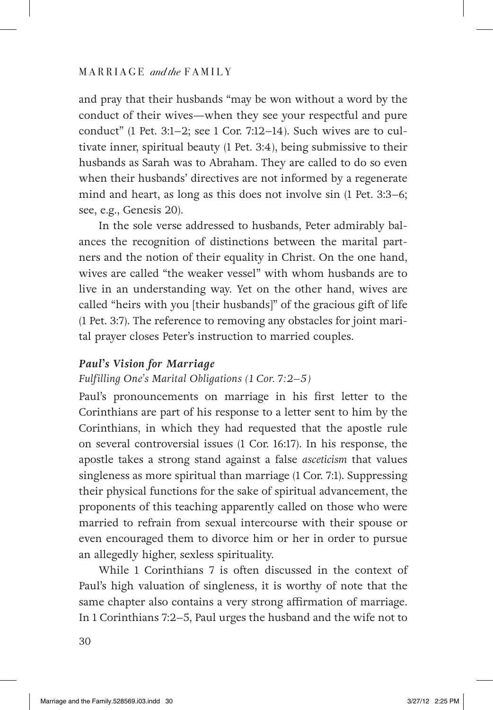and pray that their husbands "may be won without a word by the conduct of their wives—when they see your respectful and pure conduct" (1 Pet. 3:1–2; see 1 Cor. 7:12–14). Such wives are to cultivate inner, spiritual beauty (1 Pet. 3:4), being submissive to their husbands as Sarah was to Abraham. They are called to do so even when their husbands' directives are not informed by a regenerate mind and heart, as long as this does not involve sin (1 Pet. 3:3–6; see, e.g., Genesis 20).

In the sole verse addressed to husbands, Peter admirably balances the recognition of distinctions between the marital partners and the notion of their equality in Christ. On the one hand, wives are called "the weaker vessel" with whom husbands are to live in an understanding way. Yet on the other hand, wives are called "heirs with you [their husbands]" of the gracious gift of life (1 Pet. 3:7). The reference to removing any obstacles for joint marital prayer closes Peter's instruction to married couples.

#### *Paul's Vision for Marriage*

#### *Fulfilling One's Marital Obligations (1 Cor. 7:2–5)*

Paul's pronouncements on marriage in his first letter to the Corinthians are part of his response to a letter sent to him by the Corinthians, in which they had requested that the apostle rule on several controversial issues (1 Cor. 16:17). In his response, the apostle takes a strong stand against a false *asceticism* that values singleness as more spiritual than marriage (1 Cor. 7:1). Suppressing their physical functions for the sake of spiritual advancement, the proponents of this teaching apparently called on those who were married to refrain from sexual intercourse with their spouse or even encouraged them to divorce him or her in order to pursue an allegedly higher, sexless spirituality.

While 1 Corinthians 7 is often discussed in the context of Paul's high valuation of singleness, it is worthy of note that the same chapter also contains a very strong affirmation of marriage. In 1 Corinthians 7:2–5, Paul urges the husband and the wife not to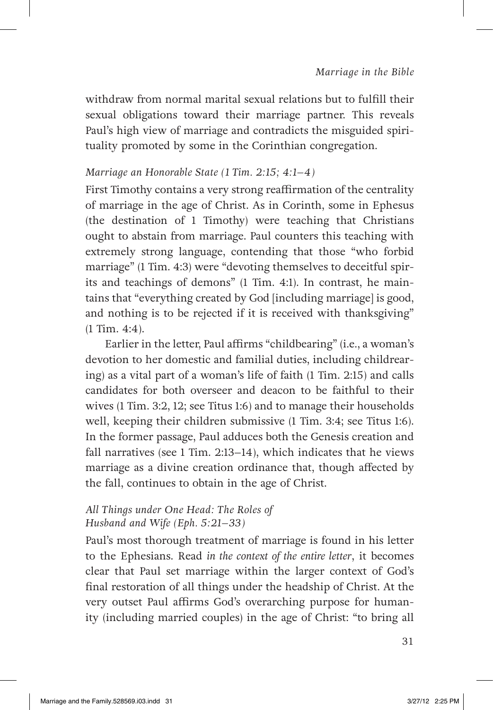withdraw from normal marital sexual relations but to fulfill their sexual obligations toward their marriage partner. This reveals Paul's high view of marriage and contradicts the misguided spirituality promoted by some in the Corinthian congregation.

#### *Marriage an Honorable State (1 Tim. 2:15; 4:1–4)*

First Timothy contains a very strong reaffirmation of the centrality of marriage in the age of Christ. As in Corinth, some in Ephesus (the destination of 1 Timothy) were teaching that Christians ought to abstain from marriage. Paul counters this teaching with extremely strong language, contending that those "who forbid marriage" (1 Tim. 4:3) were "devoting themselves to deceitful spirits and teachings of demons" (1 Tim. 4:1). In contrast, he maintains that "everything created by God [including marriage] is good, and nothing is to be rejected if it is received with thanksgiving" (1 Tim. 4:4).

Earlier in the letter, Paul affirms "childbearing" (i.e., a woman's devotion to her domestic and familial duties, including childrearing) as a vital part of a woman's life of faith (1 Tim. 2:15) and calls candidates for both overseer and deacon to be faithful to their wives (1 Tim. 3:2, 12; see Titus 1:6) and to manage their households well, keeping their children submissive (1 Tim. 3:4; see Titus 1:6). In the former passage, Paul adduces both the Genesis creation and fall narratives (see 1 Tim. 2:13–14), which indicates that he views marriage as a divine creation ordinance that, though affected by the fall, continues to obtain in the age of Christ.

### *All Things under One Head: The Roles of Husband and Wife (Eph. 5:21–33)*

Paul's most thorough treatment of marriage is found in his letter to the Ephesians. Read *in the context of the entire letter*, it becomes clear that Paul set marriage within the larger context of God's final restoration of all things under the headship of Christ. At the very outset Paul affirms God's overarching purpose for humanity (including married couples) in the age of Christ: "to bring all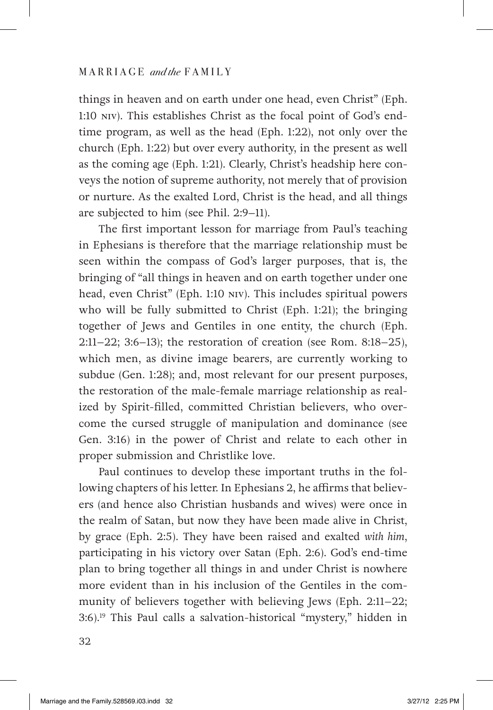things in heaven and on earth under one head, even Christ" (Eph. 1:10 NIV). This establishes Christ as the focal point of God's endtime program, as well as the head (Eph. 1:22), not only over the church (Eph. 1:22) but over every authority, in the present as well as the coming age (Eph. 1:21). Clearly, Christ's headship here conveys the notion of supreme authority, not merely that of provision or nurture. As the exalted Lord, Christ is the head, and all things are subjected to him (see Phil. 2:9–11).

The first important lesson for marriage from Paul's teaching in Ephesians is therefore that the marriage relationship must be seen within the compass of God's larger purposes, that is, the bringing of "all things in heaven and on earth together under one head, even Christ" (Eph. 1:10 NIV). This includes spiritual powers who will be fully submitted to Christ (Eph. 1:21); the bringing together of Jews and Gentiles in one entity, the church (Eph. 2:11–22; 3:6–13); the restoration of creation (see Rom. 8:18–25), which men, as divine image bearers, are currently working to subdue (Gen. 1:28); and, most relevant for our present purposes, the restoration of the male-female marriage relationship as realized by Spirit-filled, committed Christian believers, who overcome the cursed struggle of manipulation and dominance (see Gen. 3:16) in the power of Christ and relate to each other in proper submission and Christlike love.

Paul continues to develop these important truths in the following chapters of his letter. In Ephesians 2, he affirms that believers (and hence also Christian husbands and wives) were once in the realm of Satan, but now they have been made alive in Christ, by grace (Eph. 2:5). They have been raised and exalted *with him*, participating in his victory over Satan (Eph. 2:6). God's end-time plan to bring together all things in and under Christ is nowhere more evident than in his inclusion of the Gentiles in the community of believers together with believing Jews (Eph. 2:11–22; 3:6).19 This Paul calls a salvation-historical "mystery," hidden in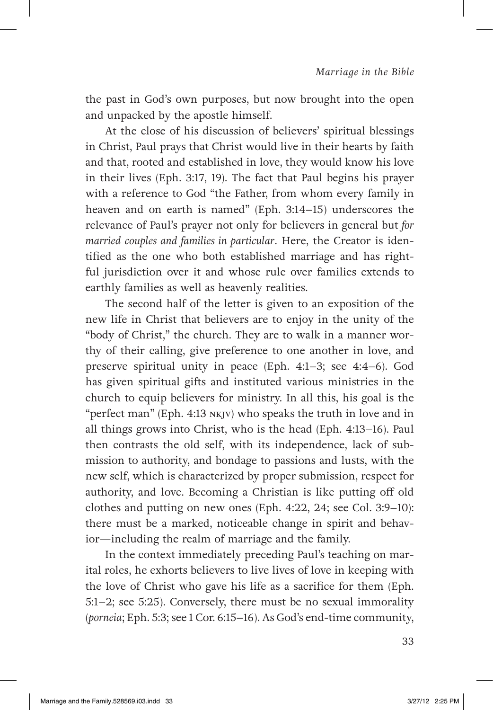the past in God's own purposes, but now brought into the open and unpacked by the apostle himself.

At the close of his discussion of believers' spiritual blessings in Christ, Paul prays that Christ would live in their hearts by faith and that, rooted and established in love, they would know his love in their lives (Eph. 3:17, 19). The fact that Paul begins his prayer with a reference to God "the Father, from whom every family in heaven and on earth is named" (Eph. 3:14–15) underscores the relevance of Paul's prayer not only for believers in general but *for married couples and families in particular*. Here, the Creator is identified as the one who both established marriage and has rightful jurisdiction over it and whose rule over families extends to earthly families as well as heavenly realities.

The second half of the letter is given to an exposition of the new life in Christ that believers are to enjoy in the unity of the "body of Christ," the church. They are to walk in a manner worthy of their calling, give preference to one another in love, and preserve spiritual unity in peace (Eph. 4:1–3; see 4:4–6). God has given spiritual gifts and instituted various ministries in the church to equip believers for ministry. In all this, his goal is the "perfect man" (Eph. 4:13 NKJV) who speaks the truth in love and in all things grows into Christ, who is the head (Eph. 4:13–16). Paul then contrasts the old self, with its independence, lack of submission to authority, and bondage to passions and lusts, with the new self, which is characterized by proper submission, respect for authority, and love. Becoming a Christian is like putting off old clothes and putting on new ones (Eph. 4:22, 24; see Col. 3:9–10): there must be a marked, noticeable change in spirit and behavior—including the realm of marriage and the family.

In the context immediately preceding Paul's teaching on marital roles, he exhorts believers to live lives of love in keeping with the love of Christ who gave his life as a sacrifice for them (Eph. 5:1–2; see 5:25). Conversely, there must be no sexual immorality (*porneia*; Eph. 5:3; see 1 Cor. 6:15–16). As God's end-time community,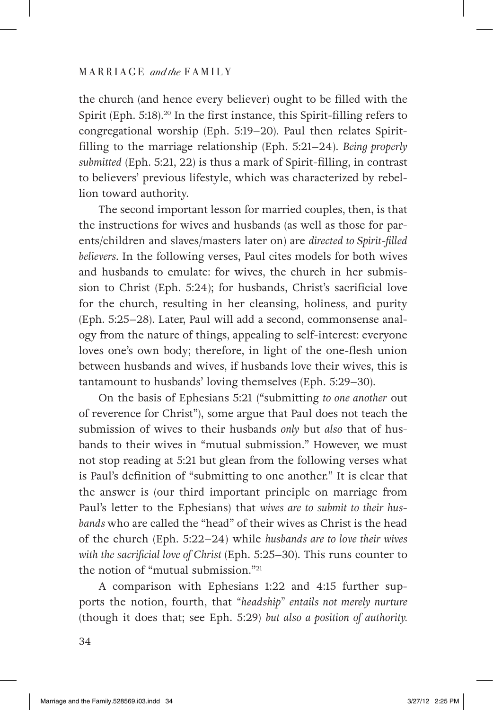the church (and hence every believer) ought to be filled with the Spirit (Eph. 5:18).<sup>20</sup> In the first instance, this Spirit-filling refers to congregational worship (Eph. 5:19–20). Paul then relates Spiritfilling to the marriage relationship (Eph. 5:21–24). *Being properly submitted* (Eph. 5:21, 22) is thus a mark of Spirit-filling, in contrast to believers' previous lifestyle, which was characterized by rebellion toward authority.

The second important lesson for married couples, then, is that the instructions for wives and husbands (as well as those for parents/children and slaves/masters later on) are *directed to Spirit-filled believers*. In the following verses, Paul cites models for both wives and husbands to emulate: for wives, the church in her submission to Christ (Eph. 5:24); for husbands, Christ's sacrificial love for the church, resulting in her cleansing, holiness, and purity (Eph. 5:25–28). Later, Paul will add a second, commonsense analogy from the nature of things, appealing to self-interest: everyone loves one's own body; therefore, in light of the one-flesh union between husbands and wives, if husbands love their wives, this is tantamount to husbands' loving themselves (Eph. 5:29–30).

On the basis of Ephesians 5:21 ("submitting *to one another* out of reverence for Christ"), some argue that Paul does not teach the submission of wives to their husbands *only* but *also* that of husbands to their wives in "mutual submission." However, we must not stop reading at 5:21 but glean from the following verses what is Paul's definition of "submitting to one another." It is clear that the answer is (our third important principle on marriage from Paul's letter to the Ephesians) that *wives are to submit to their husbands* who are called the "head" of their wives as Christ is the head of the church (Eph. 5:22–24) while *husbands are to love their wives with the sacrificial love of Christ* (Eph. 5:25–30). This runs counter to the notion of "mutual submission."21

A comparison with Ephesians 1:22 and 4:15 further supports the notion, fourth, that *"headship" entails not merely nurture* (though it does that; see Eph. 5:29) *but also a position of authority.*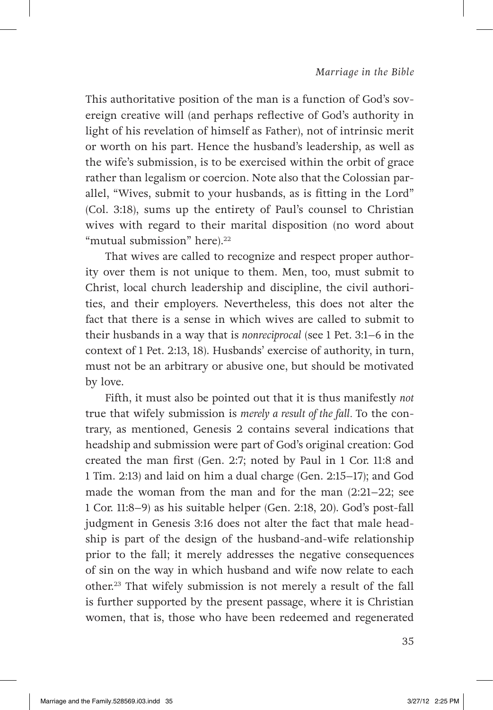This authoritative position of the man is a function of God's sovereign creative will (and perhaps reflective of God's authority in light of his revelation of himself as Father), not of intrinsic merit or worth on his part. Hence the husband's leadership, as well as the wife's submission, is to be exercised within the orbit of grace rather than legalism or coercion. Note also that the Colossian parallel, "Wives, submit to your husbands, as is fitting in the Lord" (Col. 3:18), sums up the entirety of Paul's counsel to Christian wives with regard to their marital disposition (no word about "mutual submission" here).<sup>22</sup>

That wives are called to recognize and respect proper authority over them is not unique to them. Men, too, must submit to Christ, local church leadership and discipline, the civil authorities, and their employers. Nevertheless, this does not alter the fact that there is a sense in which wives are called to submit to their husbands in a way that is *nonreciprocal* (see 1 Pet. 3:1–6 in the context of 1 Pet. 2:13, 18). Husbands' exercise of authority, in turn, must not be an arbitrary or abusive one, but should be motivated by love.

Fifth, it must also be pointed out that it is thus manifestly *not* true that wifely submission is *merely a result of the fall.* To the contrary, as mentioned, Genesis 2 contains several indications that headship and submission were part of God's original creation: God created the man first (Gen. 2:7; noted by Paul in 1 Cor. 11:8 and 1 Tim. 2:13) and laid on him a dual charge (Gen. 2:15–17); and God made the woman from the man and for the man  $(2:21-22;$  see 1 Cor. 11:8–9) as his suitable helper (Gen. 2:18, 20). God's post-fall judgment in Genesis 3:16 does not alter the fact that male headship is part of the design of the husband-and-wife relationship prior to the fall; it merely addresses the negative consequences of sin on the way in which husband and wife now relate to each other.23 That wifely submission is not merely a result of the fall is further supported by the present passage, where it is Christian women, that is, those who have been redeemed and regenerated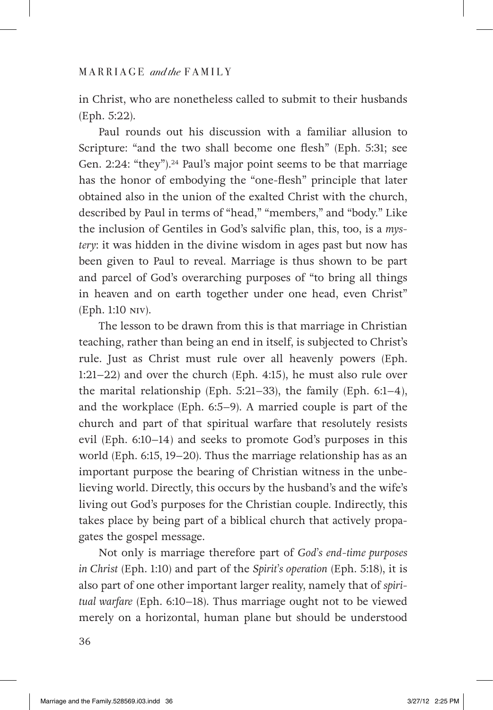in Christ, who are nonetheless called to submit to their husbands (Eph. 5:22).

Paul rounds out his discussion with a familiar allusion to Scripture: "and the two shall become one flesh" (Eph. 5:31; see Gen. 2:24: "they").<sup>24</sup> Paul's major point seems to be that marriage has the honor of embodying the "one-flesh" principle that later obtained also in the union of the exalted Christ with the church, described by Paul in terms of "head," "members," and "body." Like the inclusion of Gentiles in God's salvific plan, this, too, is a *mystery*: it was hidden in the divine wisdom in ages past but now has been given to Paul to reveal. Marriage is thus shown to be part and parcel of God's overarching purposes of "to bring all things in heaven and on earth together under one head, even Christ" (Eph. 1:10 NIV).

The lesson to be drawn from this is that marriage in Christian teaching, rather than being an end in itself, is subjected to Christ's rule. Just as Christ must rule over all heavenly powers (Eph. 1:21–22) and over the church (Eph. 4:15), he must also rule over the marital relationship (Eph. 5:21–33), the family (Eph. 6:1–4), and the workplace (Eph. 6:5–9). A married couple is part of the church and part of that spiritual warfare that resolutely resists evil (Eph. 6:10–14) and seeks to promote God's purposes in this world (Eph. 6:15, 19–20). Thus the marriage relationship has as an important purpose the bearing of Christian witness in the unbelieving world. Directly, this occurs by the husband's and the wife's living out God's purposes for the Christian couple. Indirectly, this takes place by being part of a biblical church that actively propagates the gospel message.

Not only is marriage therefore part of *God's end-time purposes in Christ* (Eph. 1:10) and part of the *Spirit's operation* (Eph. 5:18), it is also part of one other important larger reality, namely that of *spiritual warfare* (Eph. 6:10–18). Thus marriage ought not to be viewed merely on a horizontal, human plane but should be understood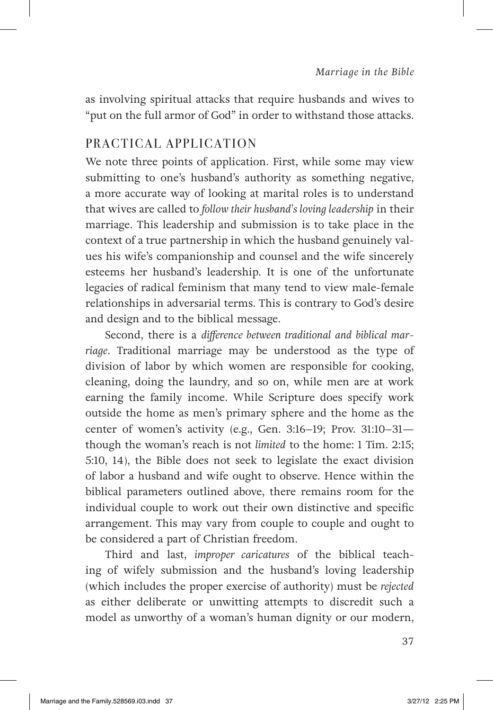as involving spiritual attacks that require husbands and wives to "put on the full armor of God" in order to withstand those attacks.

## PRACTICAL APPLICATION

We note three points of application. First, while some may view submitting to one's husband's authority as something negative, a more accurate way of looking at marital roles is to understand that wives are called to *follow their husband's loving leadership* in their marriage. This leadership and submission is to take place in the context of a true partnership in which the husband genuinely values his wife's companionship and counsel and the wife sincerely esteems her husband's leadership. It is one of the unfortunate legacies of radical feminism that many tend to view male-female relationships in adversarial terms. This is contrary to God's desire and design and to the biblical message.

Second, there is a *difference between traditional and biblical marriage*. Traditional marriage may be understood as the type of division of labor by which women are responsible for cooking, cleaning, doing the laundry, and so on, while men are at work earning the family income. While Scripture does specify work outside the home as men's primary sphere and the home as the center of women's activity (e.g., Gen. 3:16–19; Prov. 31:10–31 though the woman's reach is not *limited* to the home: 1 Tim. 2:15; 5:10, 14), the Bible does not seek to legislate the exact division of labor a husband and wife ought to observe. Hence within the biblical parameters outlined above, there remains room for the individual couple to work out their own distinctive and specific arrangement. This may vary from couple to couple and ought to be considered a part of Christian freedom.

Third and last, *improper caricatures* of the biblical teaching of wifely submission and the husband's loving leadership (which includes the proper exercise of authority) must be *rejected* as either deliberate or unwitting attempts to discredit such a model as unworthy of a woman's human dignity or our modern,